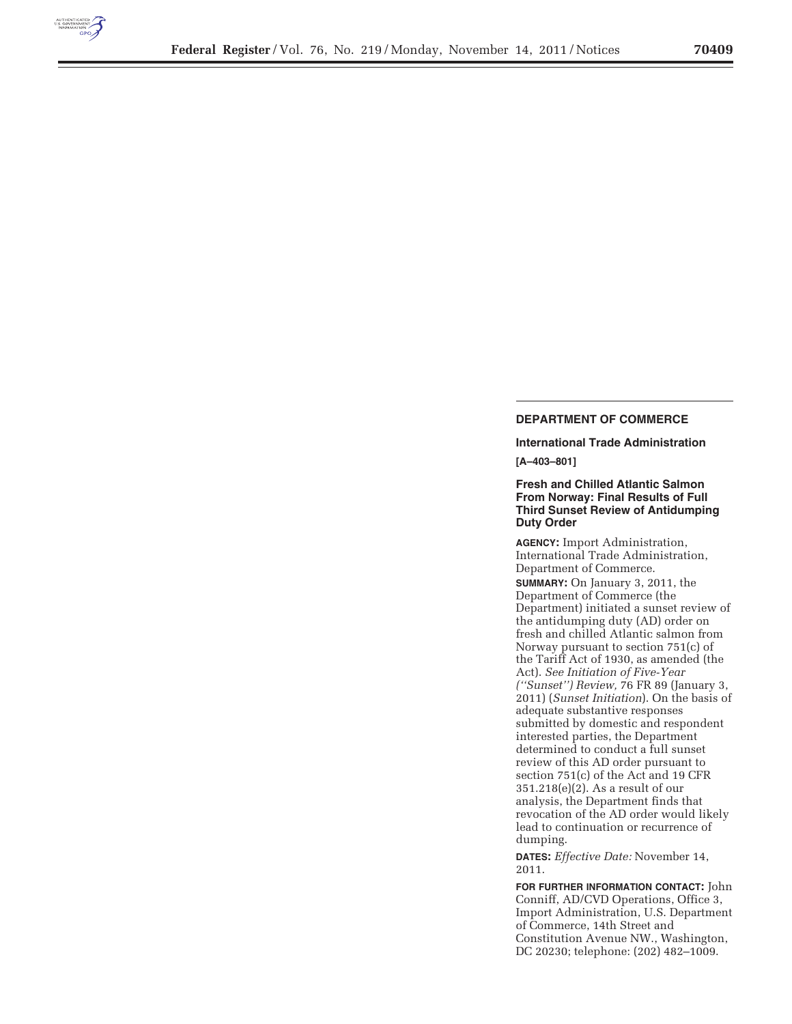

# **DEPARTMENT OF COMMERCE**

**International Trade Administration** 

**[A–403–801]** 

**Fresh and Chilled Atlantic Salmon From Norway: Final Results of Full Third Sunset Review of Antidumping Duty Order** 

**AGENCY:** Import Administration, International Trade Administration, Department of Commerce.

**SUMMARY:** On January 3, 2011, the Department of Commerce (the Department) initiated a sunset review of the antidumping duty (AD) order on fresh and chilled Atlantic salmon from Norway pursuant to section 751(c) of the Tariff Act of 1930, as amended (the Act). *See Initiation of Five-Year (''Sunset'') Review,* 76 FR 89 (January 3, 2011) (*Sunset Initiation*). On the basis of adequate substantive responses submitted by domestic and respondent interested parties, the Department determined to conduct a full sunset review of this AD order pursuant to section 751(c) of the Act and 19 CFR 351.218(e)(2). As a result of our analysis, the Department finds that revocation of the AD order would likely lead to continuation or recurrence of dumping.

**DATES:** *Effective Date:* November 14, 2011.

**FOR FURTHER INFORMATION CONTACT:** John Conniff, AD/CVD Operations, Office 3, Import Administration, U.S. Department of Commerce, 14th Street and Constitution Avenue NW., Washington, DC 20230; telephone: (202) 482–1009.